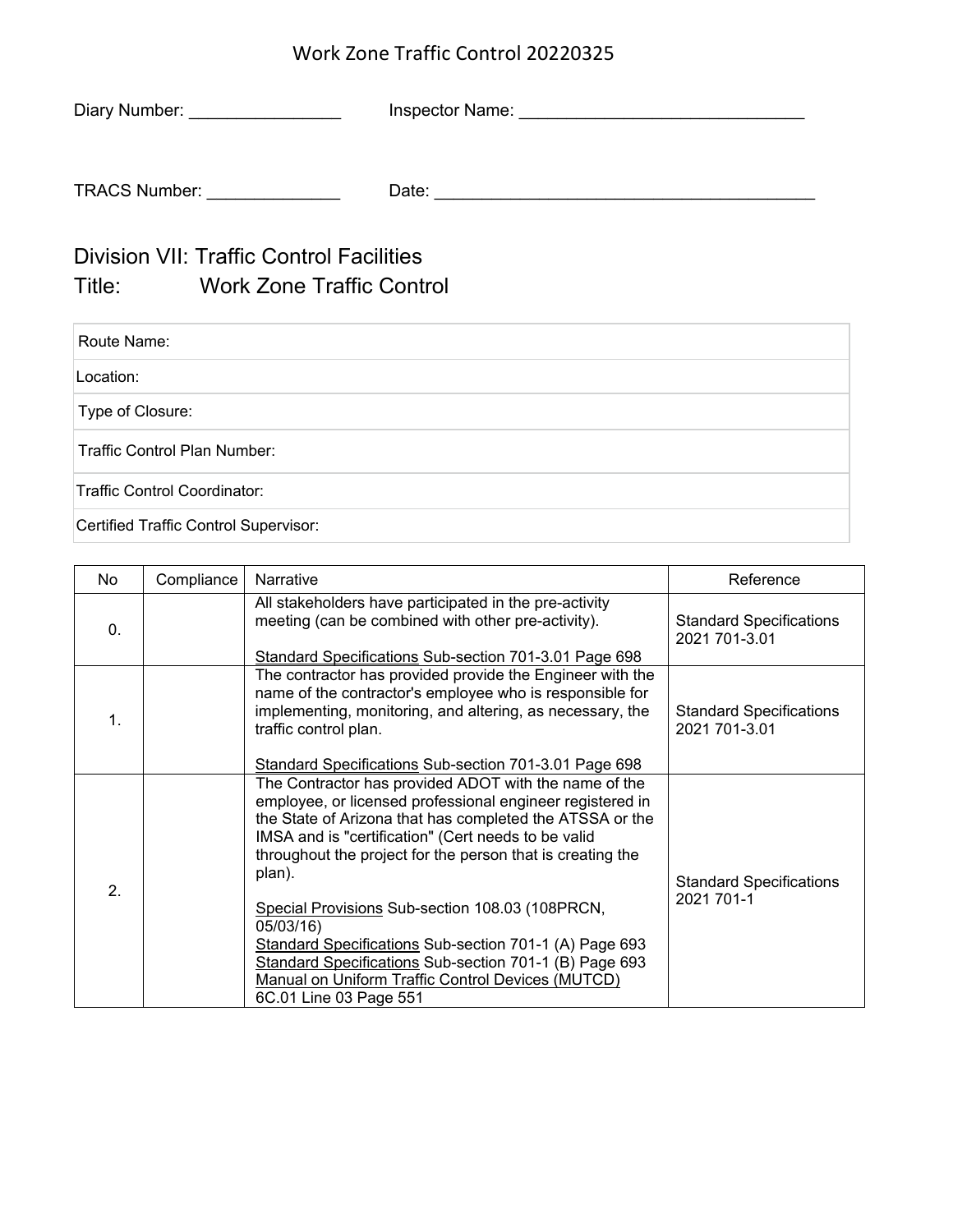## Work Zone Traffic Control 20220325

| Diary Number:        | Inspector Name: |
|----------------------|-----------------|
|                      |                 |
| <b>TRACS Number:</b> | Date:           |

## Division VII: Traffic Control Facilities Title: Work Zone Traffic Control

| Route Name:                           |
|---------------------------------------|
| Location:                             |
| Type of Closure:                      |
| Traffic Control Plan Number:          |
| Traffic Control Coordinator:          |
| Certified Traffic Control Supervisor: |

| No             | Compliance | Narrative                                                                                                                                                                                                                                                                                                                                                                                                                                                                                                                                                                        | Reference                                       |
|----------------|------------|----------------------------------------------------------------------------------------------------------------------------------------------------------------------------------------------------------------------------------------------------------------------------------------------------------------------------------------------------------------------------------------------------------------------------------------------------------------------------------------------------------------------------------------------------------------------------------|-------------------------------------------------|
| $\mathbf{0}$ . |            | All stakeholders have participated in the pre-activity<br>meeting (can be combined with other pre-activity).<br>Standard Specifications Sub-section 701-3.01 Page 698                                                                                                                                                                                                                                                                                                                                                                                                            | <b>Standard Specifications</b><br>2021 701-3.01 |
| $\mathbf{1}$ . |            | The contractor has provided provide the Engineer with the<br>name of the contractor's employee who is responsible for<br>implementing, monitoring, and altering, as necessary, the<br>traffic control plan.<br><b>Standard Specifications Sub-section 701-3.01 Page 698</b>                                                                                                                                                                                                                                                                                                      | <b>Standard Specifications</b><br>2021 701-3.01 |
| 2.             |            | The Contractor has provided ADOT with the name of the<br>employee, or licensed professional engineer registered in<br>the State of Arizona that has completed the ATSSA or the<br>IMSA and is "certification" (Cert needs to be valid<br>throughout the project for the person that is creating the<br>plan).<br>Special Provisions Sub-section 108.03 (108PRCN,<br>05/03/16)<br>Standard Specifications Sub-section 701-1 (A) Page 693<br>Standard Specifications Sub-section 701-1 (B) Page 693<br>Manual on Uniform Traffic Control Devices (MUTCD)<br>6C.01 Line 03 Page 551 | <b>Standard Specifications</b><br>2021 701-1    |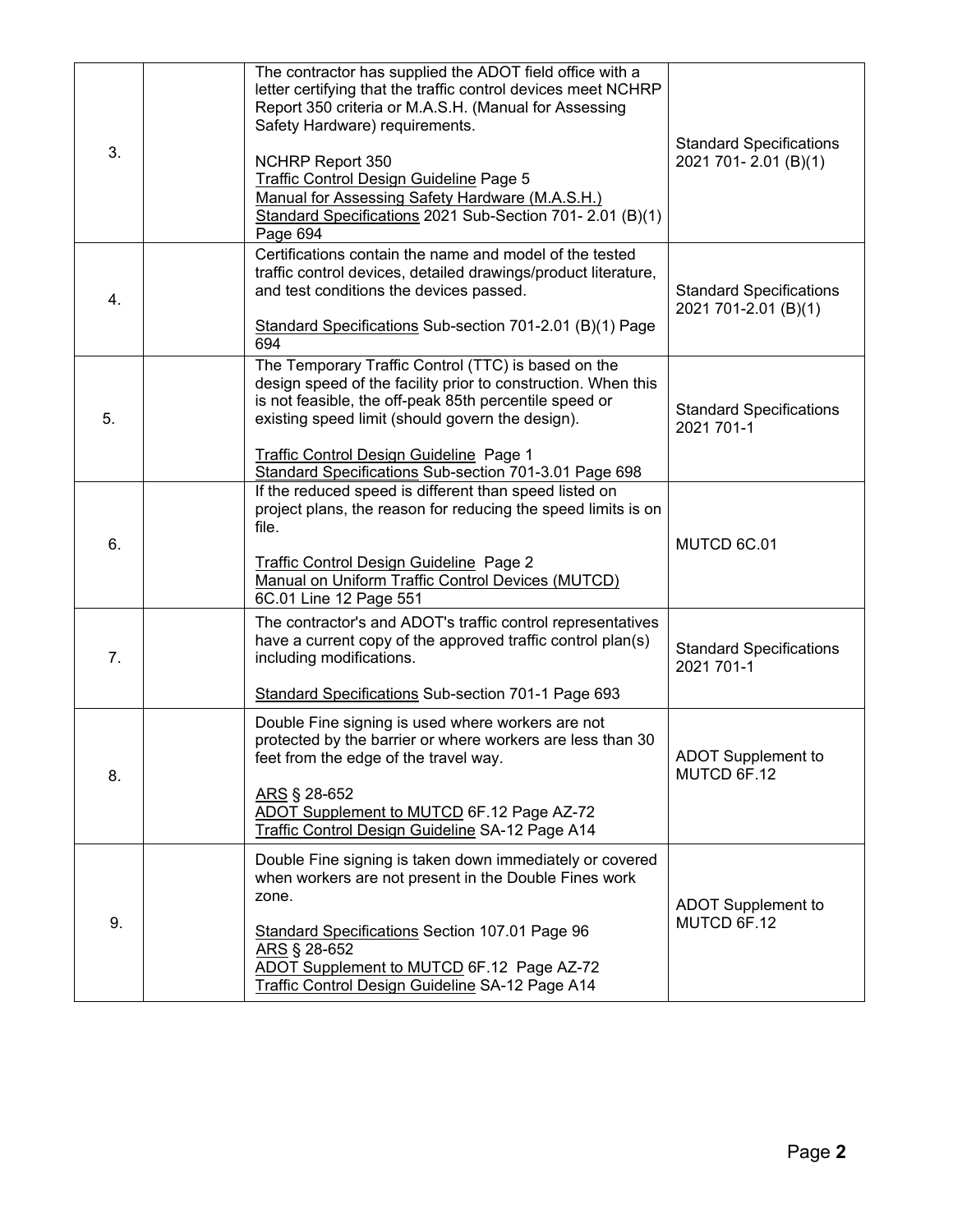| 3. | The contractor has supplied the ADOT field office with a<br>letter certifying that the traffic control devices meet NCHRP<br>Report 350 criteria or M.A.S.H. (Manual for Assessing<br>Safety Hardware) requirements.<br><b>NCHRP Report 350</b><br>Traffic Control Design Guideline Page 5<br>Manual for Assessing Safety Hardware (M.A.S.H.)<br>Standard Specifications 2021 Sub-Section 701- 2.01 (B)(1)<br>Page 694 | <b>Standard Specifications</b><br>2021 701-2.01 (B)(1) |
|----|------------------------------------------------------------------------------------------------------------------------------------------------------------------------------------------------------------------------------------------------------------------------------------------------------------------------------------------------------------------------------------------------------------------------|--------------------------------------------------------|
| 4. | Certifications contain the name and model of the tested<br>traffic control devices, detailed drawings/product literature,<br>and test conditions the devices passed.<br>Standard Specifications Sub-section 701-2.01 (B)(1) Page<br>694                                                                                                                                                                                | <b>Standard Specifications</b><br>2021 701-2.01 (B)(1) |
| 5. | The Temporary Traffic Control (TTC) is based on the<br>design speed of the facility prior to construction. When this<br>is not feasible, the off-peak 85th percentile speed or<br>existing speed limit (should govern the design).<br>Traffic Control Design Guideline Page 1<br>Standard Specifications Sub-section 701-3.01 Page 698                                                                                 | <b>Standard Specifications</b><br>2021 701-1           |
| 6. | If the reduced speed is different than speed listed on<br>project plans, the reason for reducing the speed limits is on<br>file.<br>Traffic Control Design Guideline Page 2<br>Manual on Uniform Traffic Control Devices (MUTCD)<br>6C.01 Line 12 Page 551                                                                                                                                                             | MUTCD 6C.01                                            |
| 7. | The contractor's and ADOT's traffic control representatives<br>have a current copy of the approved traffic control plan(s)<br>including modifications.<br>Standard Specifications Sub-section 701-1 Page 693                                                                                                                                                                                                           | <b>Standard Specifications</b><br>2021 701-1           |
| 8. | Double Fine signing is used where workers are not<br>protected by the barrier or where workers are less than 30<br>feet from the edge of the travel way.<br>ARS § 28-652<br>ADOT Supplement to MUTCD 6F.12 Page AZ-72<br>Traffic Control Design Guideline SA-12 Page A14                                                                                                                                               | <b>ADOT Supplement to</b><br>MUTCD 6F.12               |
| 9. | Double Fine signing is taken down immediately or covered<br>when workers are not present in the Double Fines work<br>zone.<br>Standard Specifications Section 107.01 Page 96<br>ARS § 28-652<br>ADOT Supplement to MUTCD 6F.12 Page AZ-72<br>Traffic Control Design Guideline SA-12 Page A14                                                                                                                           | ADOT Supplement to<br>MUTCD 6F.12                      |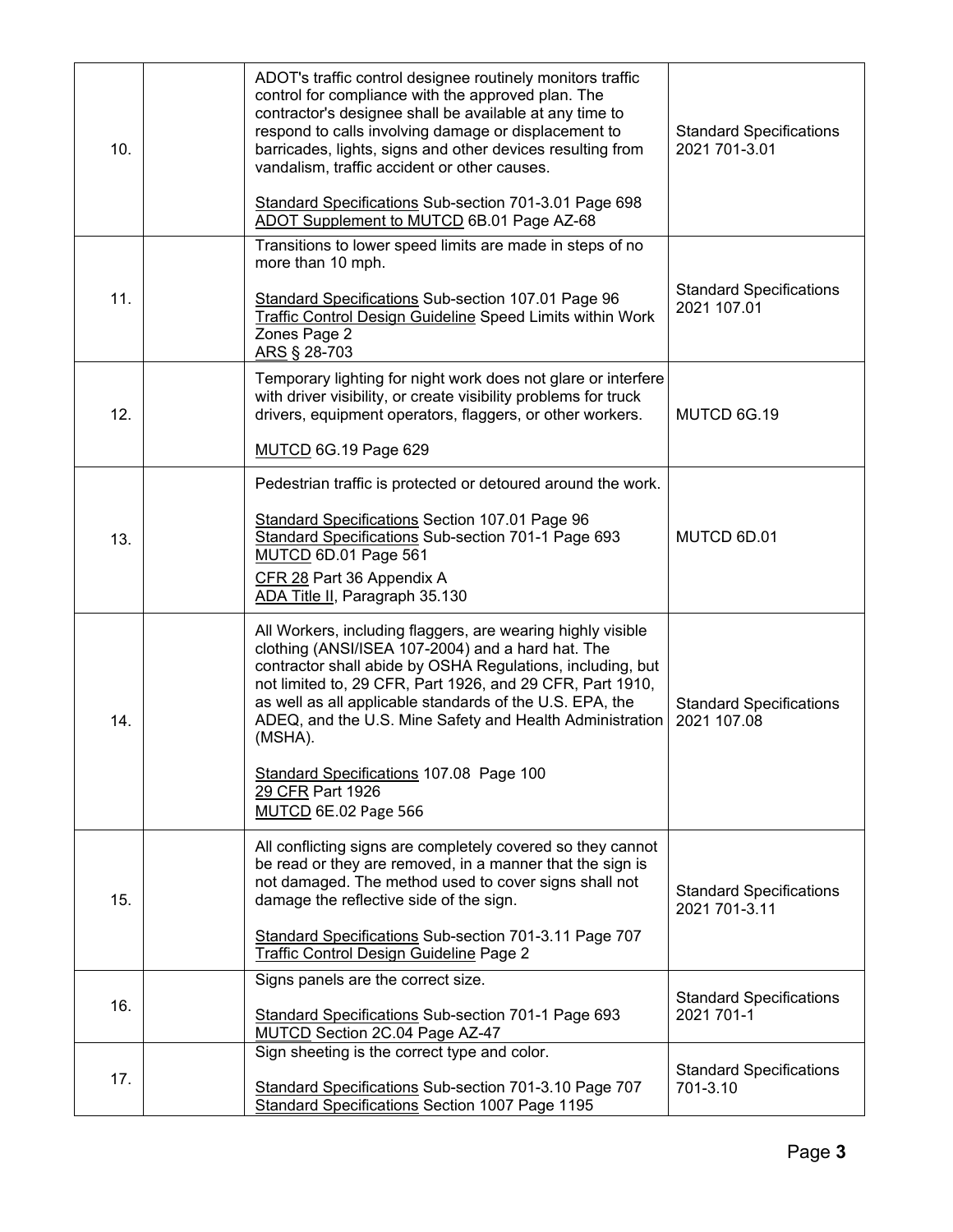| 10. | ADOT's traffic control designee routinely monitors traffic<br>control for compliance with the approved plan. The<br>contractor's designee shall be available at any time to<br>respond to calls involving damage or displacement to<br>barricades, lights, signs and other devices resulting from<br>vandalism, traffic accident or other causes.<br>Standard Specifications Sub-section 701-3.01 Page 698<br>ADOT Supplement to MUTCD 6B.01 Page AZ-68               | <b>Standard Specifications</b><br>2021 701-3.01 |
|-----|-----------------------------------------------------------------------------------------------------------------------------------------------------------------------------------------------------------------------------------------------------------------------------------------------------------------------------------------------------------------------------------------------------------------------------------------------------------------------|-------------------------------------------------|
|     | Transitions to lower speed limits are made in steps of no                                                                                                                                                                                                                                                                                                                                                                                                             |                                                 |
| 11. | more than 10 mph.<br>Standard Specifications Sub-section 107.01 Page 96<br><b>Traffic Control Design Guideline Speed Limits within Work</b><br>Zones Page 2<br>ARS § 28-703                                                                                                                                                                                                                                                                                           | <b>Standard Specifications</b><br>2021 107.01   |
| 12. | Temporary lighting for night work does not glare or interfere<br>with driver visibility, or create visibility problems for truck<br>drivers, equipment operators, flaggers, or other workers.<br>MUTCD 6G.19 Page 629                                                                                                                                                                                                                                                 | MUTCD 6G.19                                     |
|     | Pedestrian traffic is protected or detoured around the work.                                                                                                                                                                                                                                                                                                                                                                                                          |                                                 |
| 13. | Standard Specifications Section 107.01 Page 96<br>Standard Specifications Sub-section 701-1 Page 693<br>MUTCD 6D.01 Page 561<br>CFR 28 Part 36 Appendix A<br>ADA Title II, Paragraph 35.130                                                                                                                                                                                                                                                                           | MUTCD 6D.01                                     |
| 14. | All Workers, including flaggers, are wearing highly visible<br>clothing (ANSI/ISEA 107-2004) and a hard hat. The<br>contractor shall abide by OSHA Regulations, including, but<br>not limited to, 29 CFR, Part 1926, and 29 CFR, Part 1910,<br>as well as all applicable standards of the U.S. EPA, the<br>ADEQ, and the U.S. Mine Safety and Health Administration<br>(MSHA).<br>Standard Specifications 107.08 Page 100<br>29 CFR Part 1926<br>MUTCD 6E.02 Page 566 | <b>Standard Specifications</b><br>2021 107.08   |
| 15. | All conflicting signs are completely covered so they cannot<br>be read or they are removed, in a manner that the sign is<br>not damaged. The method used to cover signs shall not<br>damage the reflective side of the sign.<br>Standard Specifications Sub-section 701-3.11 Page 707<br><b>Traffic Control Design Guideline Page 2</b>                                                                                                                               | <b>Standard Specifications</b><br>2021 701-3.11 |
|     | Signs panels are the correct size.                                                                                                                                                                                                                                                                                                                                                                                                                                    |                                                 |
| 16. | Standard Specifications Sub-section 701-1 Page 693<br>MUTCD Section 2C.04 Page AZ-47                                                                                                                                                                                                                                                                                                                                                                                  | <b>Standard Specifications</b><br>2021 701-1    |
|     | Sign sheeting is the correct type and color.                                                                                                                                                                                                                                                                                                                                                                                                                          |                                                 |
| 17. | Standard Specifications Sub-section 701-3.10 Page 707<br><b>Standard Specifications Section 1007 Page 1195</b>                                                                                                                                                                                                                                                                                                                                                        | <b>Standard Specifications</b><br>701-3.10      |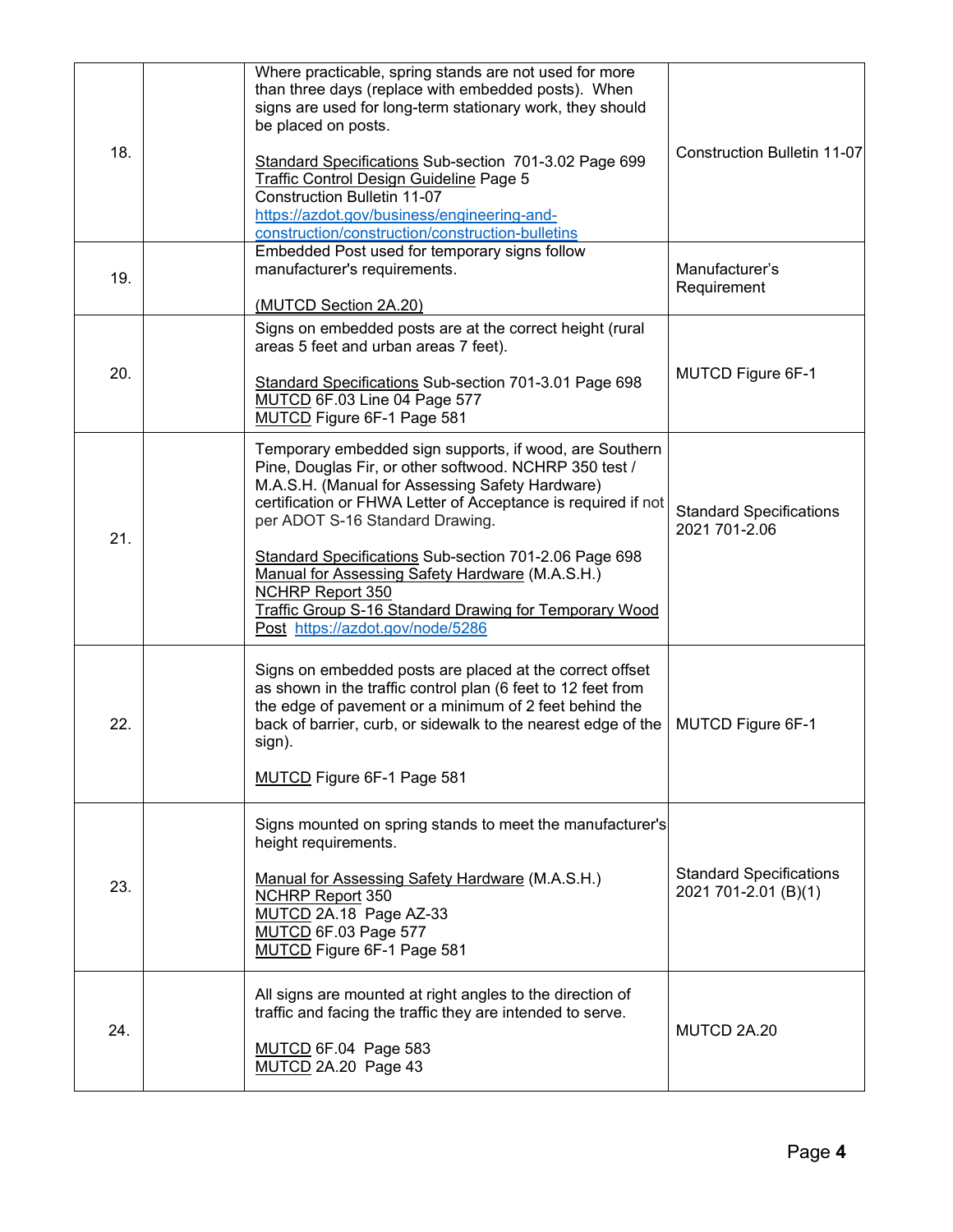| 18. | Where practicable, spring stands are not used for more<br>than three days (replace with embedded posts). When<br>signs are used for long-term stationary work, they should<br>be placed on posts.                                                                                           | <b>Construction Bulletin 11-07</b>                     |
|-----|---------------------------------------------------------------------------------------------------------------------------------------------------------------------------------------------------------------------------------------------------------------------------------------------|--------------------------------------------------------|
|     | Standard Specifications Sub-section 701-3.02 Page 699<br>Traffic Control Design Guideline Page 5<br><b>Construction Bulletin 11-07</b><br>https://azdot.gov/business/engineering-and-<br>construction/construction/construction-bulletins                                                   |                                                        |
| 19. | Embedded Post used for temporary signs follow<br>manufacturer's requirements.<br>(MUTCD Section 2A.20)                                                                                                                                                                                      | Manufacturer's<br>Requirement                          |
|     | Signs on embedded posts are at the correct height (rural<br>areas 5 feet and urban areas 7 feet).                                                                                                                                                                                           |                                                        |
| 20. | Standard Specifications Sub-section 701-3.01 Page 698<br>MUTCD 6F.03 Line 04 Page 577<br>MUTCD Figure 6F-1 Page 581                                                                                                                                                                         | <b>MUTCD Figure 6F-1</b>                               |
| 21. | Temporary embedded sign supports, if wood, are Southern<br>Pine, Douglas Fir, or other softwood. NCHRP 350 test /<br>M.A.S.H. (Manual for Assessing Safety Hardware)<br>certification or FHWA Letter of Acceptance is required if not<br>per ADOT S-16 Standard Drawing.                    | <b>Standard Specifications</b><br>2021 701-2.06        |
|     | Standard Specifications Sub-section 701-2.06 Page 698<br>Manual for Assessing Safety Hardware (M.A.S.H.)<br><b>NCHRP Report 350</b><br><b>Traffic Group S-16 Standard Drawing for Temporary Wood</b><br>Post https://azdot.gov/node/5286                                                    |                                                        |
| 22. | Signs on embedded posts are placed at the correct offset<br>as shown in the traffic control plan (6 feet to 12 feet from<br>the edge of pavement or a minimum of 2 feet behind the<br>back of barrier, curb, or sidewalk to the nearest edge of the<br>sign).<br>MUTCD Figure 6F-1 Page 581 | <b>MUTCD Figure 6F-1</b>                               |
|     |                                                                                                                                                                                                                                                                                             |                                                        |
| 23. | Signs mounted on spring stands to meet the manufacturer's<br>height requirements.<br>Manual for Assessing Safety Hardware (M.A.S.H.)<br><b>NCHRP Report 350</b><br>MUTCD 2A.18 Page AZ-33<br>MUTCD 6F.03 Page 577<br>MUTCD Figure 6F-1 Page 581                                             | <b>Standard Specifications</b><br>2021 701-2.01 (B)(1) |
| 24. | All signs are mounted at right angles to the direction of<br>traffic and facing the traffic they are intended to serve.<br>MUTCD 6F.04 Page 583<br>MUTCD 2A.20 Page 43                                                                                                                      | MUTCD 2A.20                                            |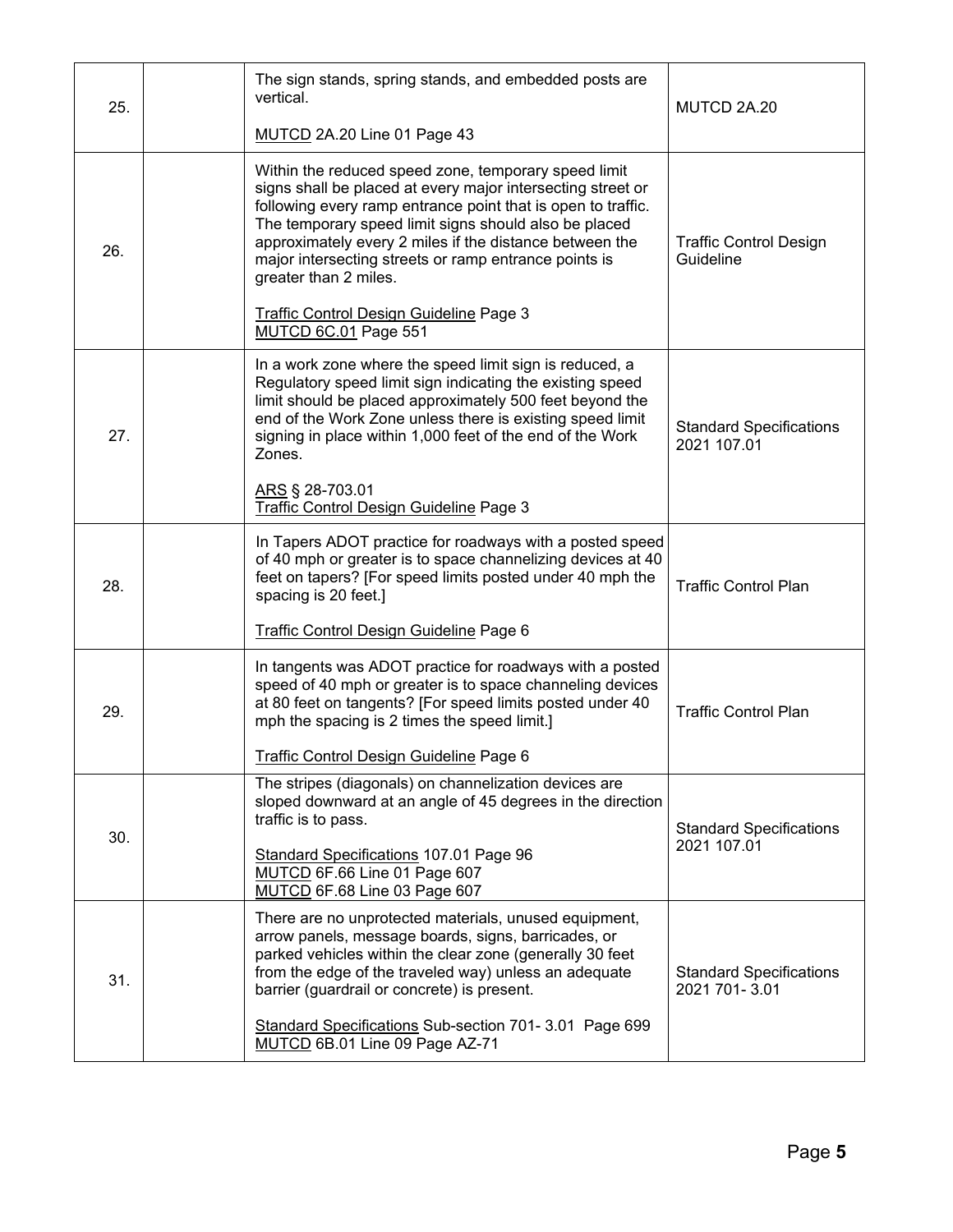|     | The sign stands, spring stands, and embedded posts are                                                                                                                                                                                                                                                                                                                                                                                                              |                                                 |
|-----|---------------------------------------------------------------------------------------------------------------------------------------------------------------------------------------------------------------------------------------------------------------------------------------------------------------------------------------------------------------------------------------------------------------------------------------------------------------------|-------------------------------------------------|
| 25. | vertical.                                                                                                                                                                                                                                                                                                                                                                                                                                                           | MUTCD 2A.20                                     |
|     | MUTCD 2A.20 Line 01 Page 43                                                                                                                                                                                                                                                                                                                                                                                                                                         |                                                 |
| 26. | Within the reduced speed zone, temporary speed limit<br>signs shall be placed at every major intersecting street or<br>following every ramp entrance point that is open to traffic.<br>The temporary speed limit signs should also be placed<br>approximately every 2 miles if the distance between the<br>major intersecting streets or ramp entrance points is<br>greater than 2 miles.<br><b>Traffic Control Design Guideline Page 3</b><br>MUTCD 6C.01 Page 551 | <b>Traffic Control Design</b><br>Guideline      |
| 27. | In a work zone where the speed limit sign is reduced, a<br>Regulatory speed limit sign indicating the existing speed<br>limit should be placed approximately 500 feet beyond the<br>end of the Work Zone unless there is existing speed limit<br>signing in place within 1,000 feet of the end of the Work<br>Zones.<br>ARS § 28-703.01<br><b>Traffic Control Design Guideline Page 3</b>                                                                           | <b>Standard Specifications</b><br>2021 107.01   |
| 28. | In Tapers ADOT practice for roadways with a posted speed<br>of 40 mph or greater is to space channelizing devices at 40<br>feet on tapers? [For speed limits posted under 40 mph the<br>spacing is 20 feet.]<br>Traffic Control Design Guideline Page 6                                                                                                                                                                                                             | <b>Traffic Control Plan</b>                     |
| 29. | In tangents was ADOT practice for roadways with a posted<br>speed of 40 mph or greater is to space channeling devices<br>at 80 feet on tangents? [For speed limits posted under 40<br>mph the spacing is 2 times the speed limit.]<br>Traffic Control Design Guideline Page 6                                                                                                                                                                                       | <b>Traffic Control Plan</b>                     |
| 30. | The stripes (diagonals) on channelization devices are<br>sloped downward at an angle of 45 degrees in the direction<br>traffic is to pass.<br>Standard Specifications 107.01 Page 96<br>MUTCD 6F.66 Line 01 Page 607<br>MUTCD 6F.68 Line 03 Page 607                                                                                                                                                                                                                | <b>Standard Specifications</b><br>2021 107.01   |
| 31. | There are no unprotected materials, unused equipment,<br>arrow panels, message boards, signs, barricades, or<br>parked vehicles within the clear zone (generally 30 feet<br>from the edge of the traveled way) unless an adequate<br>barrier (guardrail or concrete) is present.<br>Standard Specifications Sub-section 701- 3.01 Page 699<br>MUTCD 6B.01 Line 09 Page AZ-71                                                                                        | <b>Standard Specifications</b><br>2021 701-3.01 |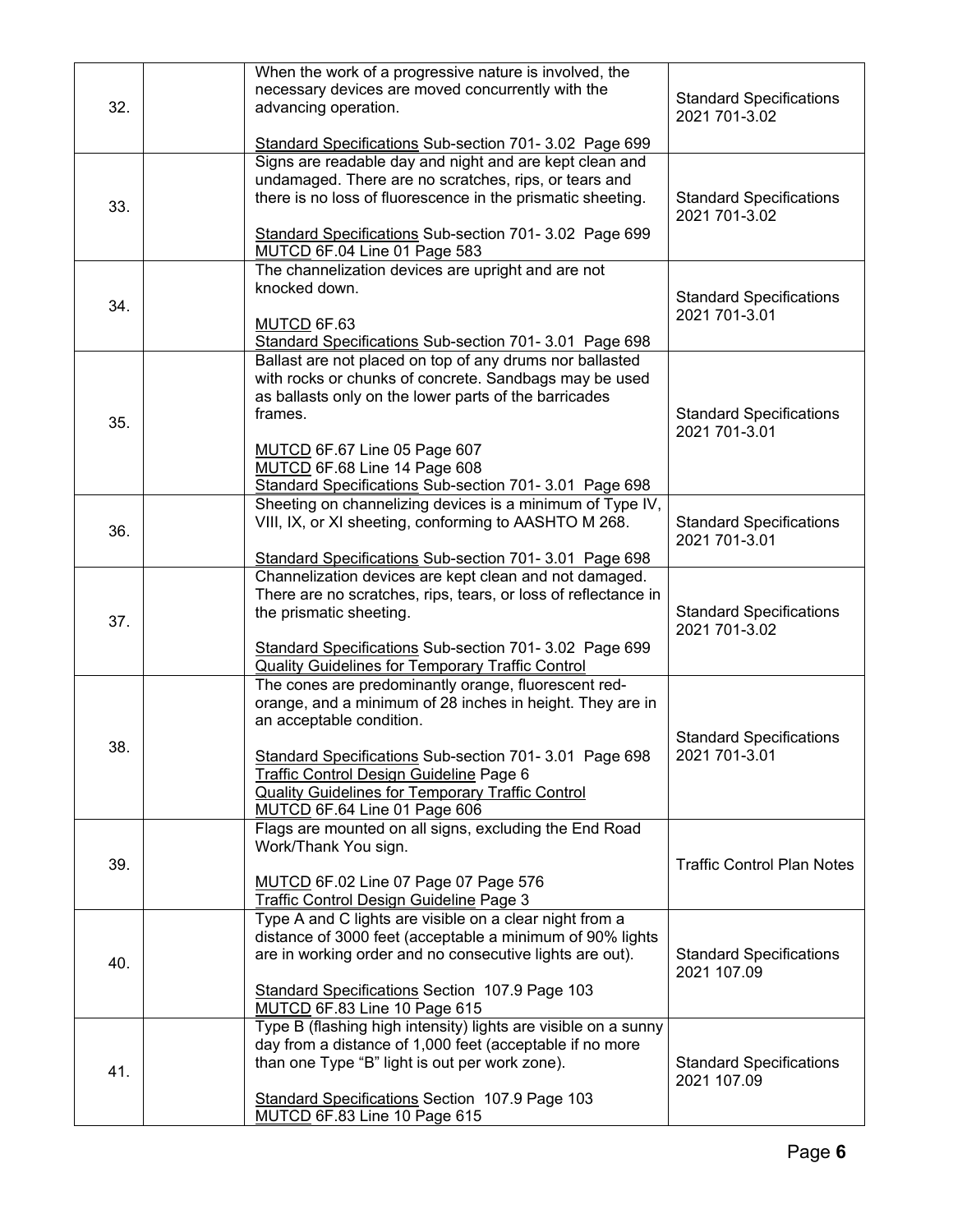| 32. | When the work of a progressive nature is involved, the<br>necessary devices are moved concurrently with the<br>advancing operation.<br>Standard Specifications Sub-section 701- 3.02 Page 699                                                                                                                                                 | <b>Standard Specifications</b><br>2021 701-3.02 |
|-----|-----------------------------------------------------------------------------------------------------------------------------------------------------------------------------------------------------------------------------------------------------------------------------------------------------------------------------------------------|-------------------------------------------------|
| 33. | Signs are readable day and night and are kept clean and<br>undamaged. There are no scratches, rips, or tears and<br>there is no loss of fluorescence in the prismatic sheeting.<br>Standard Specifications Sub-section 701- 3.02 Page 699<br>MUTCD 6F.04 Line 01 Page 583                                                                     | <b>Standard Specifications</b><br>2021 701-3.02 |
| 34. | The channelization devices are upright and are not<br>knocked down.<br>MUTCD 6F.63<br>Standard Specifications Sub-section 701- 3.01 Page 698                                                                                                                                                                                                  | <b>Standard Specifications</b><br>2021 701-3.01 |
| 35. | Ballast are not placed on top of any drums nor ballasted<br>with rocks or chunks of concrete. Sandbags may be used<br>as ballasts only on the lower parts of the barricades<br>frames.<br>MUTCD 6F.67 Line 05 Page 607<br>MUTCD 6F.68 Line 14 Page 608<br>Standard Specifications Sub-section 701- 3.01 Page 698                              | <b>Standard Specifications</b><br>2021 701-3.01 |
| 36. | Sheeting on channelizing devices is a minimum of Type IV,<br>VIII, IX, or XI sheeting, conforming to AASHTO M 268.<br>Standard Specifications Sub-section 701- 3.01 Page 698                                                                                                                                                                  | <b>Standard Specifications</b><br>2021 701-3.01 |
| 37. | Channelization devices are kept clean and not damaged.<br>There are no scratches, rips, tears, or loss of reflectance in<br>the prismatic sheeting.<br>Standard Specifications Sub-section 701- 3.02 Page 699<br>Quality Guidelines for Temporary Traffic Control                                                                             | <b>Standard Specifications</b><br>2021 701-3.02 |
| 38. | The cones are predominantly orange, fluorescent red-<br>orange, and a minimum of 28 inches in height. They are in<br>an acceptable condition.<br>Standard Specifications Sub-section 701- 3.01 Page 698<br>Traffic Control Design Guideline Page 6<br><b>Quality Guidelines for Temporary Traffic Control</b><br>MUTCD 6F.64 Line 01 Page 606 | <b>Standard Specifications</b><br>2021 701-3.01 |
| 39. | Flags are mounted on all signs, excluding the End Road<br>Work/Thank You sign.<br>MUTCD 6F.02 Line 07 Page 07 Page 576<br>Traffic Control Design Guideline Page 3                                                                                                                                                                             | <b>Traffic Control Plan Notes</b>               |
| 40. | Type A and C lights are visible on a clear night from a<br>distance of 3000 feet (acceptable a minimum of 90% lights<br>are in working order and no consecutive lights are out).<br>Standard Specifications Section 107.9 Page 103<br>MUTCD 6F.83 Line 10 Page 615                                                                            | <b>Standard Specifications</b><br>2021 107.09   |
| 41. | Type B (flashing high intensity) lights are visible on a sunny<br>day from a distance of 1,000 feet (acceptable if no more<br>than one Type "B" light is out per work zone).<br>Standard Specifications Section 107.9 Page 103<br>MUTCD 6F.83 Line 10 Page 615                                                                                | <b>Standard Specifications</b><br>2021 107.09   |